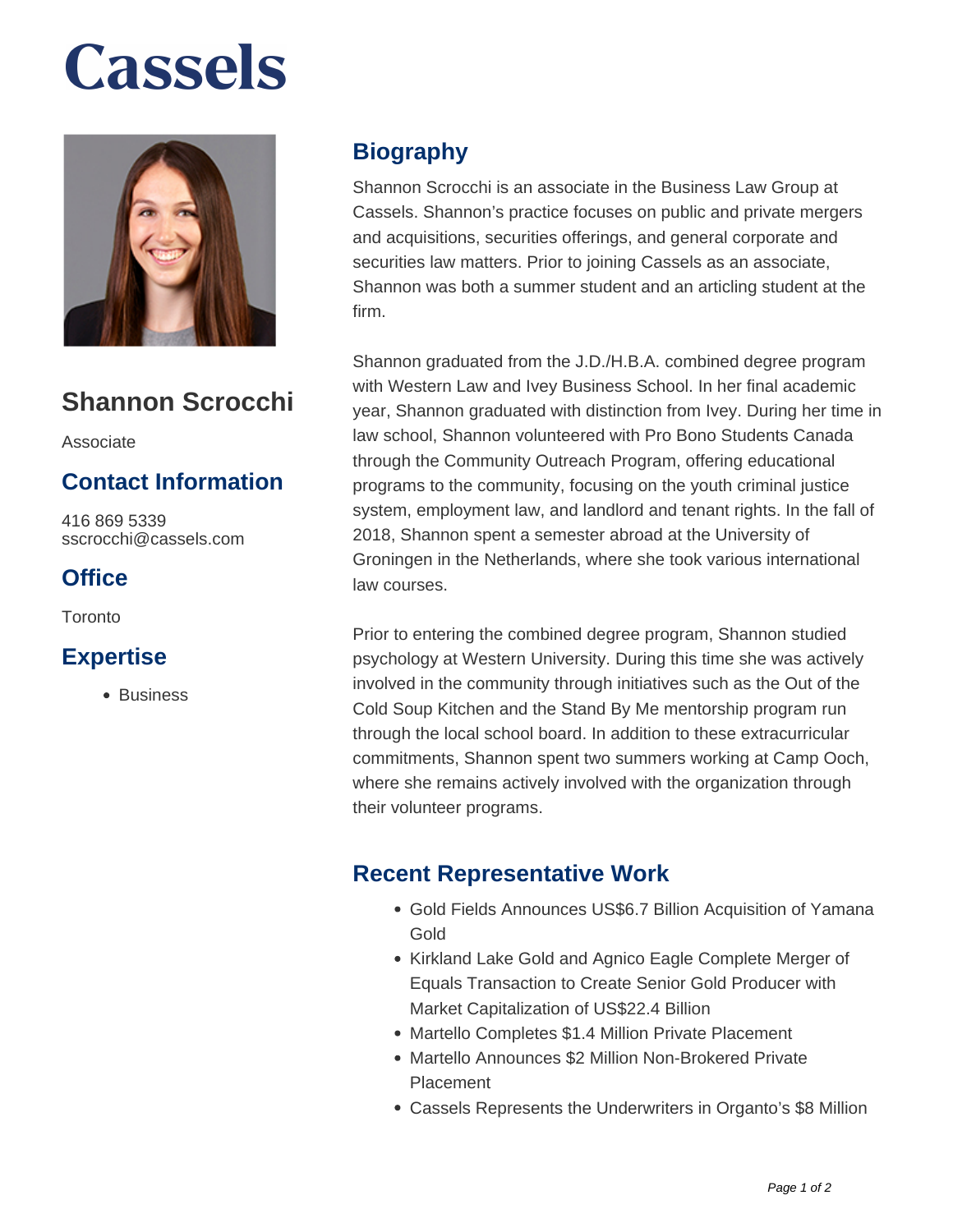# **Cassels**



### **Shannon Scrocchi**

Associate

#### **Contact Information**

416 869 5339 sscrocchi@cassels.com

#### **Office**

**Toronto** 

#### **Expertise**

• Business

#### **Biography**

Shannon Scrocchi is an associate in the Business Law Group at Cassels. Shannon's practice focuses on public and private mergers and acquisitions, securities offerings, and general corporate and securities law matters. Prior to joining Cassels as an associate, Shannon was both a summer student and an articling student at the firm.

Shannon graduated from the J.D./H.B.A. combined degree program with Western Law and Ivey Business School. In her final academic year, Shannon graduated with distinction from Ivey. During her time in law school, Shannon volunteered with Pro Bono Students Canada through the Community Outreach Program, offering educational programs to the community, focusing on the youth criminal justice system, employment law, and landlord and tenant rights. In the fall of 2018, Shannon spent a semester abroad at the University of Groningen in the Netherlands, where she took various international law courses.

Prior to entering the combined degree program, Shannon studied psychology at Western University. During this time she was actively involved in the community through initiatives such as the Out of the Cold Soup Kitchen and the Stand By Me mentorship program run through the local school board. In addition to these extracurricular commitments, Shannon spent two summers working at Camp Ooch, where she remains actively involved with the organization through their volunteer programs.

#### **Recent Representative Work**

- Gold Fields Announces US\$6.7 Billion Acquisition of Yamana Gold
- Kirkland Lake Gold and Agnico Eagle Complete Merger of Equals Transaction to Create Senior Gold Producer with Market Capitalization of US\$22.4 Billion
- Martello Completes \$1.4 Million Private Placement
- Martello Announces \$2 Million Non-Brokered Private Placement
- Cassels Represents the Underwriters in Organto's \$8 Million